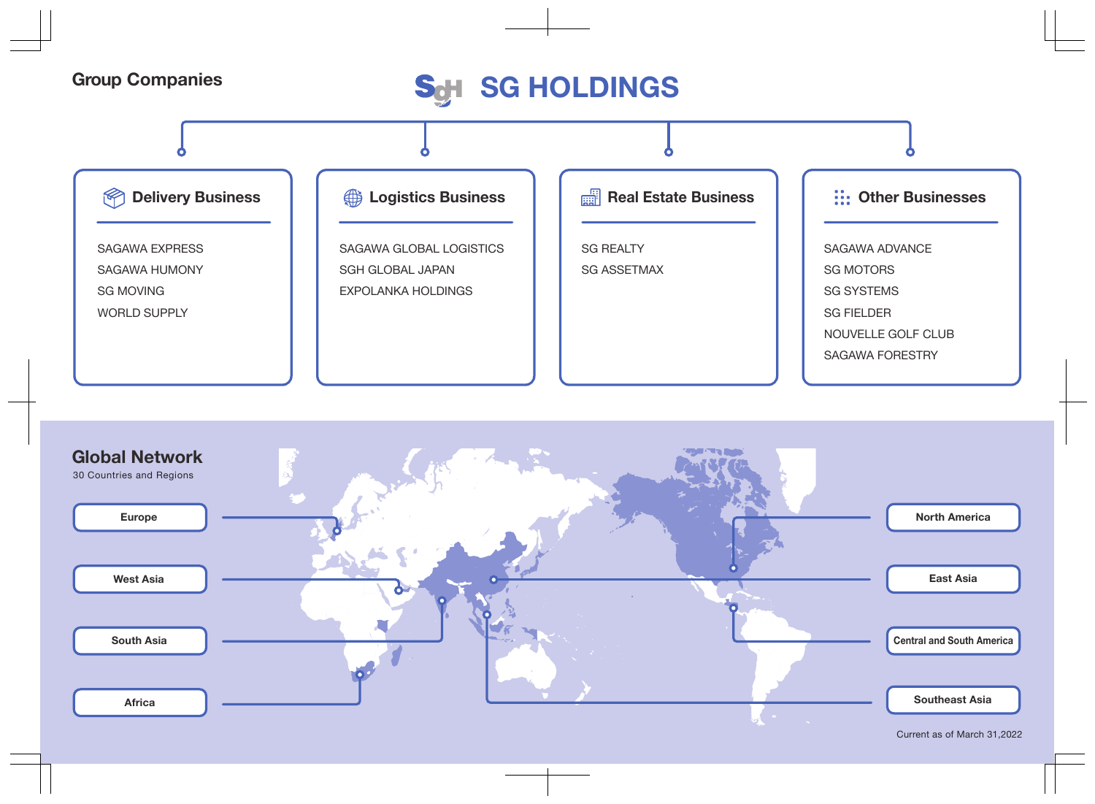## Group Companies<br>
S<sub>o</sub>H SG HOLDINGS